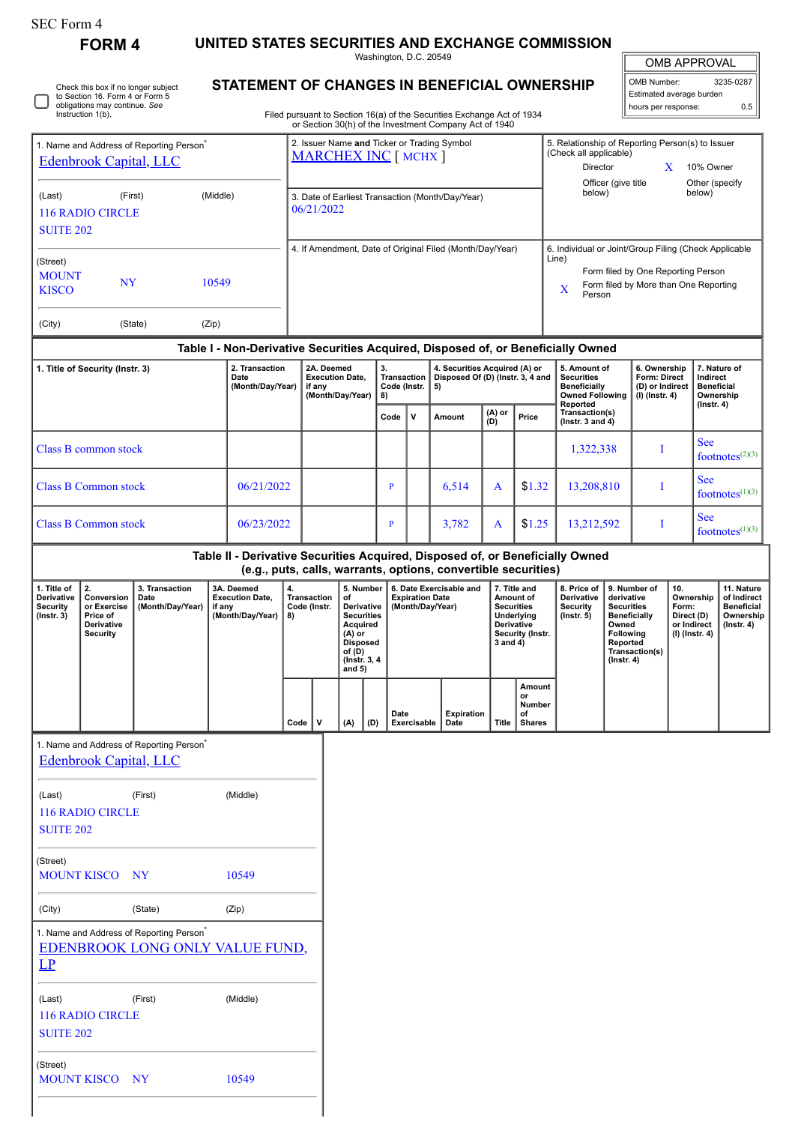| <b>SEC Form 4</b> |  |
|-------------------|--|
| FARM 4            |  |

Г

Check this box if no longer subject to Section 16. Form 4 or Form 5 obligations may continue. *See* Instruction 1(b).

## **FORM 4 UNITED STATES SECURITIES AND EXCHANGE COMMISSION**

Washington, D.C. 20549 **STATEMENT OF CHANGES IN BENEFICIAL OWNERSHIP**

| <b>OMB APPROVAL</b> |           |  |  |  |  |
|---------------------|-----------|--|--|--|--|
| OMB Number:         | 3235-0287 |  |  |  |  |

Estimated average burden hours per response: 0.5

|  | Filed pursuant to Section 16(a) of the Securities Exchange Act of 1934<br>or Section 30(h) of the Investment Company Act of 1940 |  |
|--|----------------------------------------------------------------------------------------------------------------------------------|--|
|--|----------------------------------------------------------------------------------------------------------------------------------|--|

| 1. Name and Address of Reporting Person <sup>®</sup><br><b>Edenbrook Capital, LLC</b> |                      |                                            |  | 2. Issuer Name and Ticker or Trading Symbol<br><b>MARCHEX INC [ MCHX ]</b> |                                                |   |                                                                         |        |       | 5. Relationship of Reporting Person(s) to Issuer<br>(Check all applicable)<br>Director                           | X                                                                           | 10% Owner                                                                      |
|---------------------------------------------------------------------------------------|----------------------|--------------------------------------------|--|----------------------------------------------------------------------------|------------------------------------------------|---|-------------------------------------------------------------------------|--------|-------|------------------------------------------------------------------------------------------------------------------|-----------------------------------------------------------------------------|--------------------------------------------------------------------------------|
| (Last)<br>116 RADIO CIRCLE<br><b>SUITE 202</b>                                        | (Middle)<br>(First)  |                                            |  | 3. Date of Earliest Transaction (Month/Day/Year)<br>06/21/2022             |                                                |   |                                                                         |        |       | Officer (give title<br>below)                                                                                    |                                                                             | Other (specify<br>below)                                                       |
| (Street)<br><b>MOUNT</b><br><b>KISCO</b><br>(City)                                    | <b>NY</b><br>(State) | 10549<br>(Zip)                             |  | 4. If Amendment, Date of Original Filed (Month/Day/Year)                   |                                                |   |                                                                         |        |       | 6. Individual or Joint/Group Filing (Check Applicable<br>Line)<br>$\mathbf{X}$<br>Person                         | Form filed by One Reporting Person<br>Form filed by More than One Reporting |                                                                                |
| Table I - Non-Derivative Securities Acquired, Disposed of, or Beneficially Owned      |                      |                                            |  |                                                                            |                                                |   |                                                                         |        |       |                                                                                                                  |                                                                             |                                                                                |
| 1. Title of Security (Instr. 3)                                                       |                      | 2. Transaction<br>Date<br>(Month/Day/Year) |  | 2A. Deemed<br><b>Execution Date.</b><br>if any<br>(Month/Day/Year)         | 3.<br><b>Transaction</b><br>Code (Instr.<br>8) | v | 4. Securities Acquired (A) or<br>Disposed Of (D) (Instr. 3, 4 and<br>5) | (A) or | Price | 5. Amount of<br><b>Securities</b><br><b>Beneficially</b><br><b>Owned Following</b><br>Reported<br>Transaction(s) | 6. Ownership<br><b>Form: Direct</b><br>(D) or Indirect<br>$(I)$ (Instr. 4)  | 7. Nature of<br>Indirect<br><b>Beneficial</b><br>Ownership<br>$($ Instr. 4 $)$ |
|                                                                                       |                      |                                            |  |                                                                            | Code                                           |   | Amount                                                                  | (D)    |       | ( $lnstr. 3 and 4$ )                                                                                             |                                                                             |                                                                                |

| <b>Class B common stock</b> |            |  |       |        | 1,322,338  | See<br>footnotes <sup><math>(2)(3)</math></sup> |
|-----------------------------|------------|--|-------|--------|------------|-------------------------------------------------|
| <b>Class B Common stock</b> | 06/21/2022 |  | 6.514 | \$1.32 | 13,208,810 | <b>See</b><br>footnotes $(1)(3)$                |
| <b>Class B Common stock</b> | 06/23/2022 |  | 3,782 | \$1.25 | 13,212,592 | <b>See</b><br>footnotes $(1)(3)$                |

## **Table II - Derivative Securities Acquired, Disposed of, or Beneficially Owned**

**(e.g., puts, calls, warrants, options, convertible securities)**

|                                                    |                                                                       |                                            | .                                                                       |                                          |  |                                                                                                                                                                                                                 |     |                     |                    |       |                                                      |  |  |                                                                                                                   |  |                                                                  |                                                                                                                                                |                                                                          |                                                                          |
|----------------------------------------------------|-----------------------------------------------------------------------|--------------------------------------------|-------------------------------------------------------------------------|------------------------------------------|--|-----------------------------------------------------------------------------------------------------------------------------------------------------------------------------------------------------------------|-----|---------------------|--------------------|-------|------------------------------------------------------|--|--|-------------------------------------------------------------------------------------------------------------------|--|------------------------------------------------------------------|------------------------------------------------------------------------------------------------------------------------------------------------|--------------------------------------------------------------------------|--------------------------------------------------------------------------|
| . Title of<br>Derivative<br>Security<br>(Instr. 3) | 2.<br>Conversion<br>or Exercise<br>Price of<br>Derivative<br>Security | 3. Transaction<br>Date<br>(Month/Day/Year) | 3A. Deemed<br><b>Execution Date,</b><br>if any<br>(Month/Day/Year)   8) | 4.<br><b>Transaction</b><br>Code (Instr. |  | 5. Number<br>6. Date Exercisable and<br><b>Expiration Date</b><br>οf<br>Derivative<br>(Month/Day/Year)<br><b>Securities</b><br>Acquired<br>$(A)$ or<br><b>Disposed</b><br>of $(D)$<br>(Instr. 3, 4)<br>and $5)$ |     |                     |                    |       |                                                      |  |  | 7. Title and<br>Amount of<br><b>Securities</b><br>Underlying<br><b>Derivative</b><br>Security (Instr.<br>3 and 4) |  | 8. Price of<br><b>Derivative</b><br>Security<br>$($ lnstr. 5 $)$ | 9. Number of<br>derivative<br><b>Securities</b><br><b>Beneficially</b><br>Owned<br>Following<br>Reported<br>Transaction(s)<br>$($ lnstr. 4 $)$ | 10.<br>Ownership<br>Form:<br>Direct (D)<br>or Indirect<br>(I) (Instr. 4) | 11. Nature<br>of Indirect<br>Beneficial<br>Ownership<br>$($ lnstr. 4 $)$ |
|                                                    |                                                                       |                                            |                                                                         | $Code$   V                               |  | (A)                                                                                                                                                                                                             | (D) | Date<br>Exercisable | Expiration<br>Date | Title | Amount<br>or<br><b>Number</b><br>of<br><b>Shares</b> |  |  |                                                                                                                   |  |                                                                  |                                                                                                                                                |                                                                          |                                                                          |
|                                                    |                                                                       |                                            |                                                                         |                                          |  |                                                                                                                                                                                                                 |     |                     |                    |       |                                                      |  |  |                                                                                                                   |  |                                                                  |                                                                                                                                                |                                                                          |                                                                          |

1. Name and Address of Reporting Person<sup>\*</sup>

[Edenbrook Capital, LLC](http://www.sec.gov/cgi-bin/browse-edgar?action=getcompany&CIK=0001666682)

| (Last)             | (First)   | (Middle) |
|--------------------|-----------|----------|
| 116 RADIO CIRCLE   |           |          |
| <b>SUITE 202</b>   |           |          |
|                    |           |          |
| (Street)           |           |          |
| <b>MOUNT KISCO</b> | <b>NY</b> | 10549    |

(City) (State) (Zip)

| 1. Name and Address of Reporting Person <sup>'</sup> |
|------------------------------------------------------|
| <b>EDENBROOK LONG ONLY VALUE FUND,</b>               |
| <b>LP</b>                                            |

| ш      |         |          |
|--------|---------|----------|
| (Last) | (First) | (Middle) |

| (Last)           | (First) | (Middle) |
|------------------|---------|----------|
| 116 RADIO CIRCLE |         |          |
| <b>SUITE 202</b> |         |          |

| (Street)           |           |       |
|--------------------|-----------|-------|
| <b>MOUNT KISCO</b> | <b>NY</b> | 10549 |